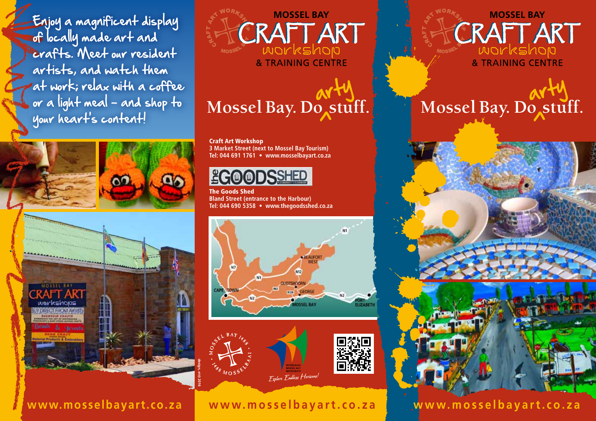Enjoy a magnificent display of locally made art and crafts. Meet our resident artists, and watch them at work; relax with a coffee or a light meal - and shop to your heart's content!





**MOSSEL BAY** CRAFT ART workshop & TRAINING CENTRE

Craft Art Workshop **3 Market Street (next to Mossel Bay Tourism) Tel: 044 691 1761 • www.mosselbayart.co.za**



The Goods Shed **Bland Street (entrance to the Harbour) Tel: 044 690 5358 • www.thegoodsshed.co.za**





## **www.mosselbayart.co.za**

**MOSSEL BAY** CRAFT ART workshop **& TRAINING CENTRE** 

## Mossel Bay. Do stuff. Mossel Bay. Do stuff.